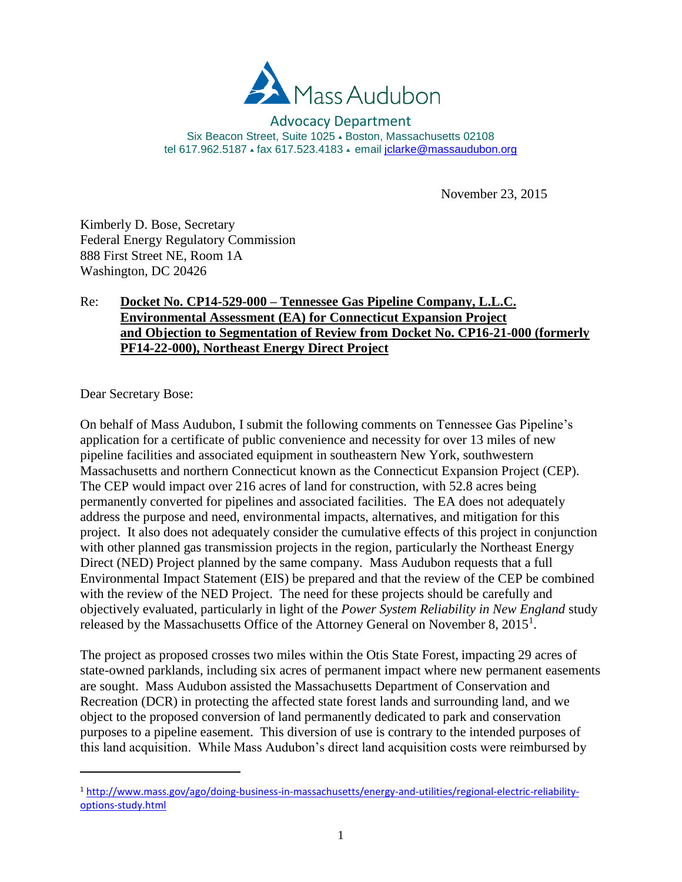

#### Advocacy Department Six Beacon Street, Suite 1025 - Boston, Massachusetts 02108 tel 617.962.5187 ⋅ fax 617.523.4183 ⋅ email [jclarke@massaudubon.org](mailto:jclarke@massaudubon.org)

November 23, 2015

Kimberly D. Bose, Secretary Federal Energy Regulatory Commission 888 First Street NE, Room 1A Washington, DC 20426

## Re: **Docket No. CP14-529-000 – Tennessee Gas Pipeline Company, L.L.C. Environmental Assessment (EA) for Connecticut Expansion Project and Objection to Segmentation of Review from Docket No. CP16-21-000 (formerly PF14-22-000), Northeast Energy Direct Project**

Dear Secretary Bose:

l

On behalf of Mass Audubon, I submit the following comments on Tennessee Gas Pipeline's application for a certificate of public convenience and necessity for over 13 miles of new pipeline facilities and associated equipment in southeastern New York, southwestern Massachusetts and northern Connecticut known as the Connecticut Expansion Project (CEP). The CEP would impact over 216 acres of land for construction, with 52.8 acres being permanently converted for pipelines and associated facilities. The EA does not adequately address the purpose and need, environmental impacts, alternatives, and mitigation for this project. It also does not adequately consider the cumulative effects of this project in conjunction with other planned gas transmission projects in the region, particularly the Northeast Energy Direct (NED) Project planned by the same company. Mass Audubon requests that a full Environmental Impact Statement (EIS) be prepared and that the review of the CEP be combined with the review of the NED Project. The need for these projects should be carefully and objectively evaluated, particularly in light of the *Power System Reliability in New England* study released by the Massachusetts Office of the Attorney General on November 8,  $2015<sup>1</sup>$ .

The project as proposed crosses two miles within the Otis State Forest, impacting 29 acres of state-owned parklands, including six acres of permanent impact where new permanent easements are sought. Mass Audubon assisted the Massachusetts Department of Conservation and Recreation (DCR) in protecting the affected state forest lands and surrounding land, and we object to the proposed conversion of land permanently dedicated to park and conservation purposes to a pipeline easement. This diversion of use is contrary to the intended purposes of this land acquisition. While Mass Audubon's direct land acquisition costs were reimbursed by

<sup>1</sup> [http://www.mass.gov/ago/doing-business-in-massachusetts/energy-and-utilities/regional-electric-reliability](http://www.mass.gov/ago/doing-business-in-massachusetts/energy-and-utilities/regional-electric-reliability-options-study.html)[options-study.html](http://www.mass.gov/ago/doing-business-in-massachusetts/energy-and-utilities/regional-electric-reliability-options-study.html)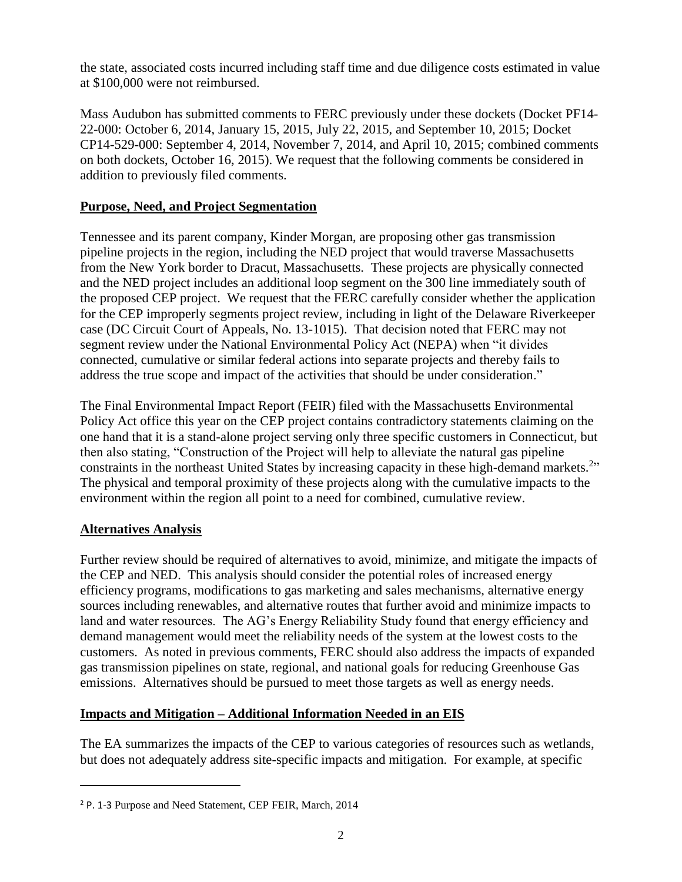the state, associated costs incurred including staff time and due diligence costs estimated in value at \$100,000 were not reimbursed.

Mass Audubon has submitted comments to FERC previously under these dockets (Docket PF14- 22-000: October 6, 2014, January 15, 2015, July 22, 2015, and September 10, 2015; Docket CP14-529-000: September 4, 2014, November 7, 2014, and April 10, 2015; combined comments on both dockets, October 16, 2015). We request that the following comments be considered in addition to previously filed comments.

# **Purpose, Need, and Project Segmentation**

Tennessee and its parent company, Kinder Morgan, are proposing other gas transmission pipeline projects in the region, including the NED project that would traverse Massachusetts from the New York border to Dracut, Massachusetts. These projects are physically connected and the NED project includes an additional loop segment on the 300 line immediately south of the proposed CEP project. We request that the FERC carefully consider whether the application for the CEP improperly segments project review, including in light of the Delaware Riverkeeper case (DC Circuit Court of Appeals, No. 13-1015). That decision noted that FERC may not segment review under the National Environmental Policy Act (NEPA) when "it divides connected, cumulative or similar federal actions into separate projects and thereby fails to address the true scope and impact of the activities that should be under consideration."

The Final Environmental Impact Report (FEIR) filed with the Massachusetts Environmental Policy Act office this year on the CEP project contains contradictory statements claiming on the one hand that it is a stand-alone project serving only three specific customers in Connecticut, but then also stating, "Construction of the Project will help to alleviate the natural gas pipeline constraints in the northeast United States by increasing capacity in these high-demand markets.<sup>2</sup>" The physical and temporal proximity of these projects along with the cumulative impacts to the environment within the region all point to a need for combined, cumulative review.

# **Alternatives Analysis**

 $\overline{\phantom{a}}$ 

Further review should be required of alternatives to avoid, minimize, and mitigate the impacts of the CEP and NED. This analysis should consider the potential roles of increased energy efficiency programs, modifications to gas marketing and sales mechanisms, alternative energy sources including renewables, and alternative routes that further avoid and minimize impacts to land and water resources. The AG's Energy Reliability Study found that energy efficiency and demand management would meet the reliability needs of the system at the lowest costs to the customers. As noted in previous comments, FERC should also address the impacts of expanded gas transmission pipelines on state, regional, and national goals for reducing Greenhouse Gas emissions. Alternatives should be pursued to meet those targets as well as energy needs.

### **Impacts and Mitigation – Additional Information Needed in an EIS**

The EA summarizes the impacts of the CEP to various categories of resources such as wetlands, but does not adequately address site-specific impacts and mitigation. For example, at specific

<sup>2</sup> P. 1-3 Purpose and Need Statement, CEP FEIR, March, 2014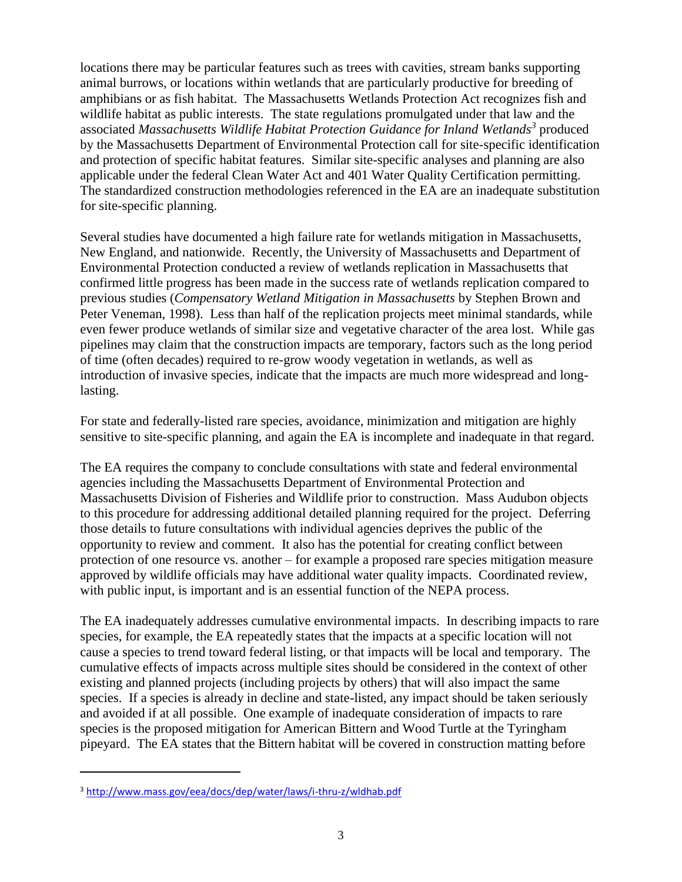locations there may be particular features such as trees with cavities, stream banks supporting animal burrows, or locations within wetlands that are particularly productive for breeding of amphibians or as fish habitat. The Massachusetts Wetlands Protection Act recognizes fish and wildlife habitat as public interests. The state regulations promulgated under that law and the associated *Massachusetts Wildlife Habitat Protection Guidance for Inland Wetlands<sup>3</sup>* produced by the Massachusetts Department of Environmental Protection call for site-specific identification and protection of specific habitat features. Similar site-specific analyses and planning are also applicable under the federal Clean Water Act and 401 Water Quality Certification permitting. The standardized construction methodologies referenced in the EA are an inadequate substitution for site-specific planning.

Several studies have documented a high failure rate for wetlands mitigation in Massachusetts, New England, and nationwide. Recently, the University of Massachusetts and Department of Environmental Protection conducted a review of wetlands replication in Massachusetts that confirmed little progress has been made in the success rate of wetlands replication compared to previous studies (*Compensatory Wetland Mitigation in Massachusetts* by Stephen Brown and Peter Veneman, 1998). Less than half of the replication projects meet minimal standards, while even fewer produce wetlands of similar size and vegetative character of the area lost. While gas pipelines may claim that the construction impacts are temporary, factors such as the long period of time (often decades) required to re-grow woody vegetation in wetlands, as well as introduction of invasive species, indicate that the impacts are much more widespread and longlasting.

For state and federally-listed rare species, avoidance, minimization and mitigation are highly sensitive to site-specific planning, and again the EA is incomplete and inadequate in that regard.

The EA requires the company to conclude consultations with state and federal environmental agencies including the Massachusetts Department of Environmental Protection and Massachusetts Division of Fisheries and Wildlife prior to construction. Mass Audubon objects to this procedure for addressing additional detailed planning required for the project. Deferring those details to future consultations with individual agencies deprives the public of the opportunity to review and comment. It also has the potential for creating conflict between protection of one resource vs. another – for example a proposed rare species mitigation measure approved by wildlife officials may have additional water quality impacts. Coordinated review, with public input, is important and is an essential function of the NEPA process.

The EA inadequately addresses cumulative environmental impacts. In describing impacts to rare species, for example, the EA repeatedly states that the impacts at a specific location will not cause a species to trend toward federal listing, or that impacts will be local and temporary. The cumulative effects of impacts across multiple sites should be considered in the context of other existing and planned projects (including projects by others) that will also impact the same species. If a species is already in decline and state-listed, any impact should be taken seriously and avoided if at all possible. One example of inadequate consideration of impacts to rare species is the proposed mitigation for American Bittern and Wood Turtle at the Tyringham pipeyard. The EA states that the Bittern habitat will be covered in construction matting before

l

<sup>3</sup> <http://www.mass.gov/eea/docs/dep/water/laws/i-thru-z/wldhab.pdf>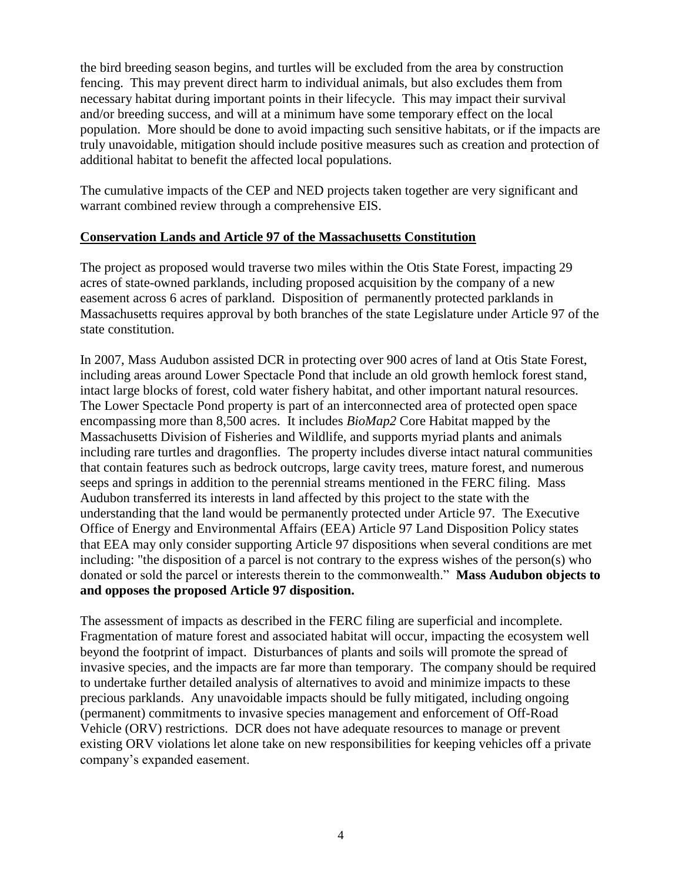the bird breeding season begins, and turtles will be excluded from the area by construction fencing. This may prevent direct harm to individual animals, but also excludes them from necessary habitat during important points in their lifecycle. This may impact their survival and/or breeding success, and will at a minimum have some temporary effect on the local population. More should be done to avoid impacting such sensitive habitats, or if the impacts are truly unavoidable, mitigation should include positive measures such as creation and protection of additional habitat to benefit the affected local populations.

The cumulative impacts of the CEP and NED projects taken together are very significant and warrant combined review through a comprehensive EIS.

### **Conservation Lands and Article 97 of the Massachusetts Constitution**

The project as proposed would traverse two miles within the Otis State Forest, impacting 29 acres of state-owned parklands, including proposed acquisition by the company of a new easement across 6 acres of parkland. Disposition of permanently protected parklands in Massachusetts requires approval by both branches of the state Legislature under Article 97 of the state constitution.

In 2007, Mass Audubon assisted DCR in protecting over 900 acres of land at Otis State Forest, including areas around Lower Spectacle Pond that include an old growth hemlock forest stand, intact large blocks of forest, cold water fishery habitat, and other important natural resources. The Lower Spectacle Pond property is part of an interconnected area of protected open space encompassing more than 8,500 acres. It includes *BioMap2* Core Habitat mapped by the Massachusetts Division of Fisheries and Wildlife, and supports myriad plants and animals including rare turtles and dragonflies. The property includes diverse intact natural communities that contain features such as bedrock outcrops, large cavity trees, mature forest, and numerous seeps and springs in addition to the perennial streams mentioned in the FERC filing. Mass Audubon transferred its interests in land affected by this project to the state with the understanding that the land would be permanently protected under Article 97. The Executive Office of Energy and Environmental Affairs (EEA) Article 97 Land Disposition Policy states that EEA may only consider supporting Article 97 dispositions when several conditions are met including: "the disposition of a parcel is not contrary to the express wishes of the person(s) who donated or sold the parcel or interests therein to the commonwealth." **Mass Audubon objects to and opposes the proposed Article 97 disposition.**

The assessment of impacts as described in the FERC filing are superficial and incomplete. Fragmentation of mature forest and associated habitat will occur, impacting the ecosystem well beyond the footprint of impact. Disturbances of plants and soils will promote the spread of invasive species, and the impacts are far more than temporary. The company should be required to undertake further detailed analysis of alternatives to avoid and minimize impacts to these precious parklands. Any unavoidable impacts should be fully mitigated, including ongoing (permanent) commitments to invasive species management and enforcement of Off-Road Vehicle (ORV) restrictions. DCR does not have adequate resources to manage or prevent existing ORV violations let alone take on new responsibilities for keeping vehicles off a private company's expanded easement.